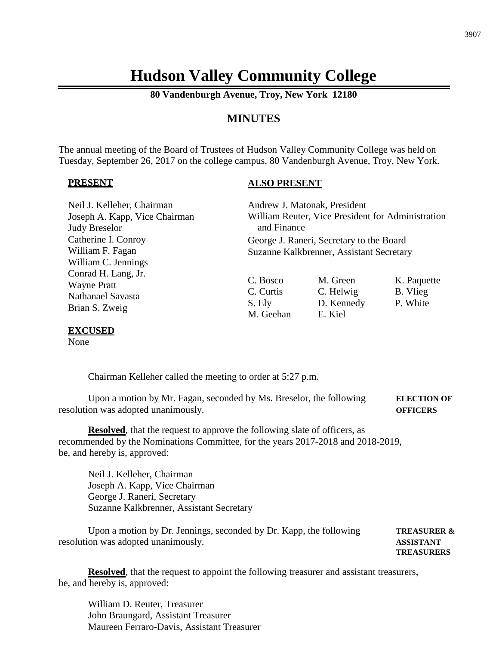# **Hudson Valley Community College**

**80 Vandenburgh Avenue, Troy, New York 12180**

## **MINUTES**

The annual meeting of the Board of Trustees of Hudson Valley Community College was held on Tuesday, September 26, 2017 on the college campus, 80 Vandenburgh Avenue, Troy, New York.

#### **PRESENT**

### **ALSO PRESENT**

| Neil J. Kelleher, Chairman    | Andrew J. Matonak, President                      |            |             |
|-------------------------------|---------------------------------------------------|------------|-------------|
| Joseph A. Kapp, Vice Chairman | William Reuter, Vice President for Administration |            |             |
| <b>Judy Breselor</b>          | and Finance                                       |            |             |
| Catherine I. Conroy           | George J. Raneri, Secretary to the Board          |            |             |
| William F. Fagan              | Suzanne Kalkbrenner, Assistant Secretary          |            |             |
| William C. Jennings           |                                                   |            |             |
| Conrad H. Lang, Jr.           |                                                   |            |             |
| <b>Wayne Pratt</b>            | C. Bosco                                          | M. Green   | K. Paquette |
| <b>Nathanael Savasta</b>      | C. Curtis                                         | C. Helwig  | B. Vlieg    |
| Brian S. Zweig                | S. Ely                                            | D. Kennedy | P. White    |
|                               | M. Geehan                                         | E. Kiel    |             |

#### **EXCUSED**

None

Chairman Kelleher called the meeting to order at 5:27 p.m.

Upon a motion by Mr. Fagan, seconded by Ms. Breselor, the following **ELECTION OF** resolution was adopted unanimously. **OFFICERS**

**Resolved**, that the request to approve the following slate of officers, as recommended by the Nominations Committee, for the years 2017-2018 and 2018-2019, be, and hereby is, approved:

Neil J. Kelleher, Chairman Joseph A. Kapp, Vice Chairman George J. Raneri, Secretary Suzanne Kalkbrenner, Assistant Secretary

Upon a motion by Dr. Jennings, seconded by Dr. Kapp, the following **TREASURER &** resolution was adopted unanimously. **ASSISTANT**

**TREASURERS**

**Resolved**, that the request to appoint the following treasurer and assistant treasurers, be, and hereby is, approved:

William D. Reuter, Treasurer John Braungard, Assistant Treasurer Maureen Ferraro-Davis, Assistant Treasurer